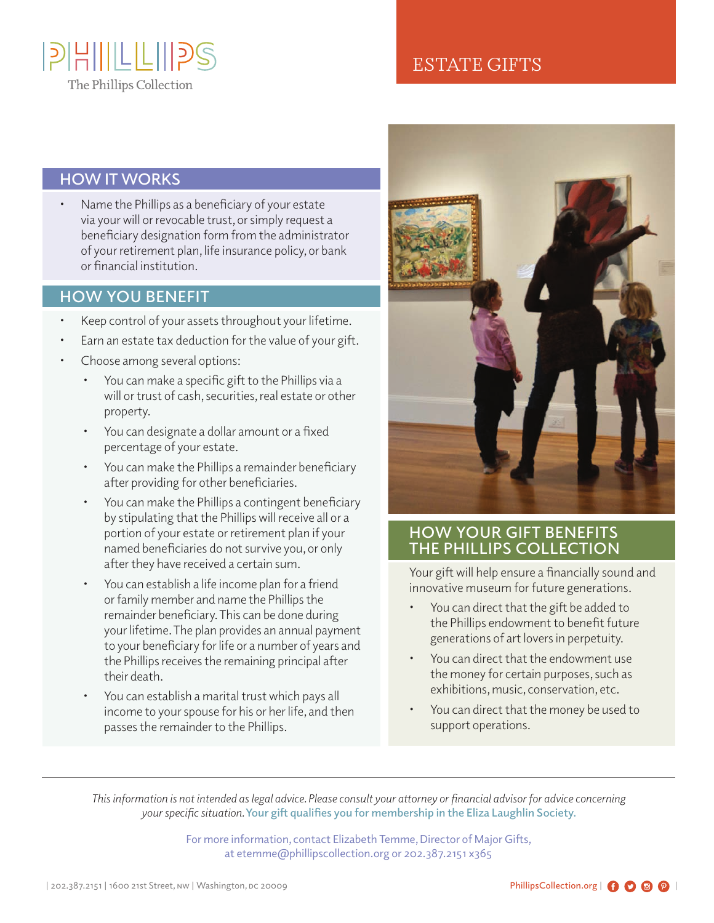

## ESTATE GIFTS

#### **HOW IT WORKS**

Name the Phillips as a beneficiary of your estate via your will or revocable trust, or simply request a beneficiary designation form from the administrator of your retirement plan, life insurance policy, or bank or financial institution.

### **HOW YOU BENEFIT**

- Keep control of your assets throughout your lifetime.
- Earn an estate tax deduction for the value of your gift.
- Choose among several options:
	- You can make a specific gift to the Phillips via a will or trust of cash, securities, real estate or other property.
	- You can designate a dollar amount or a fixed percentage of your estate.
	- You can make the Phillips a remainder beneficiary after providing for other beneficiaries.
	- You can make the Phillips a contingent beneficiary by stipulating that the Phillips will receive all or a portion of your estate or retirement plan if your named beneficiaries do not survive you, or only after they have received a certain sum.
	- You can establish a life income plan for a friend or family member and name the Phillips the remainder beneficiary. This can be done during your lifetime. The plan provides an annual payment to your beneficiary for life or a number of years and the Phillips receives the remaining principal after their death.
	- You can establish a marital trust which pays all income to your spouse for his or her life, and then passes the remainder to the Phillips.



#### **HOW YOUR GIFT BENEFITS THE PHILLIPS COLLECTION**

Your gift will help ensure a financially sound and innovative museum for future generations.

- You can direct that the gift be added to the Phillips endowment to benefit future generations of art lovers in perpetuity.
- You can direct that the endowment use the money for certain purposes, such as exhibitions, music, conservation, etc.
- You can direct that the money be used to support operations.

*This information is not intended as legal advice. Please consult your attorney or financial advisor for advice concerning your specific situation.* **Your gift qualifies you for membership in the Eliza Laughlin Society.**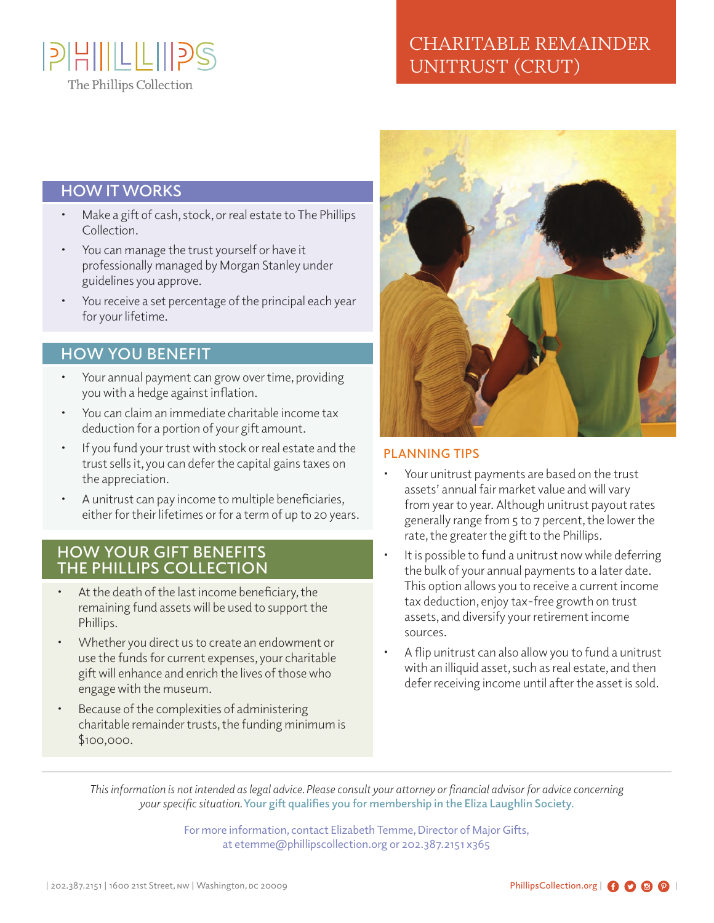

# CHARITABLE REMAINDER UNITRUST (CRUT)

#### **HOW IT WORKS**

- Make a gift of cash, stock, or real estate to The Phillips Collection.
- You can manage the trust yourself or have it professionally managed by Morgan Stanley under guidelines you approve.
- You receive a set percentage of the principal each year for your lifetime.

#### **HOW YOU BENEFIT**

- Your annual payment can grow over time, providing you with a hedge against inflation.
- You can claim an immediate charitable income tax deduction for a portion of your gift amount.
- If you fund your trust with stock or real estate and the trust sells it, you can defer the capital gains taxes on the appreciation.
- A unitrust can pay income to multiple beneficiaries, either for their lifetimes or for a term of up to 20 years.

#### **HOW YOUR GIFT BENEFITS THE PHILLIPS COLLECTION**

- At the death of the last income beneficiary, the remaining fund assets will be used to support the Phillips.
- Whether you direct us to create an endowment or use the funds for current expenses, your charitable gift will enhance and enrich the lives of those who engage with the museum.
- Because of the complexities of administering charitable remainder trusts, the funding minimum is \$100,000.



#### **PLANNING TIPS**

- Your unitrust payments are based on the trust assets' annual fair market value and will vary from year to year. Although unitrust payout rates generally range from 5 to 7 percent, the lower the rate, the greater the gift to the Phillips.
- It is possible to fund a unitrust now while deferring the bulk of your annual payments to a later date. This option allows you to receive a current income tax deduction, enjoy tax-free growth on trust assets, and diversify your retirement income sources.
- A flip unitrust can also allow you to fund a unitrust with an illiquid asset, such as real estate, and then defer receiving income until after the asset is sold.

*This information is not intended as legal advice. Please consult your attorney or financial advisor for advice concerning your specific situation.* **Your gift qualifies you for membership in the Eliza Laughlin Society.**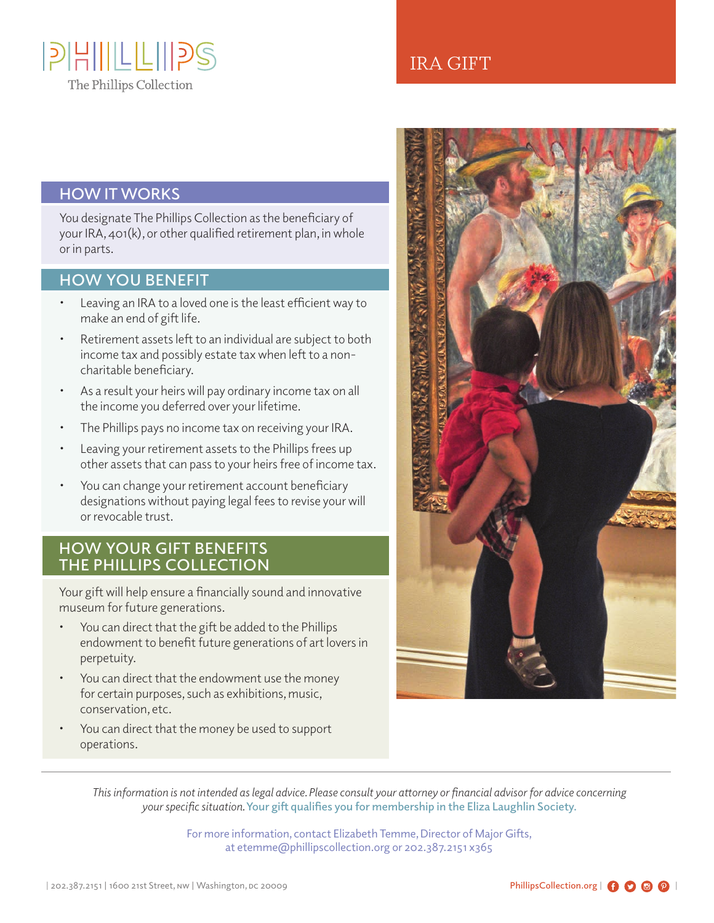

## IRA GIFT

### **HOW IT WORKS**

You designate The Phillips Collection as the beneficiary of your IRA, 401(k), or other qualified retirement plan, in whole or in parts.

#### **HOW YOU BENEFIT**

- Leaving an IRA to a loved one is the least efficient way to make an end of gift life.
- Retirement assets left to an individual are subject to both income tax and possibly estate tax when left to a noncharitable beneficiary.
- As a result your heirs will pay ordinary income tax on all the income you deferred over your lifetime.
- The Phillips pays no income tax on receiving your IRA.
- Leaving your retirement assets to the Phillips frees up other assets that can pass to your heirs free of income tax.
- You can change your retirement account beneficiary designations without paying legal fees to revise your will or revocable trust.

#### **HOW YOUR GIFT BENEFITS THE PHILLIPS COLLECTION**

Your gift will help ensure a financially sound and innovative museum for future generations.

- You can direct that the gift be added to the Phillips endowment to benefit future generations of art lovers in perpetuity.
- You can direct that the endowment use the money for certain purposes, such as exhibitions, music, conservation, etc.
- You can direct that the money be used to support operations.



*This information is not intended as legal advice. Please consult your attorney or financial advisor for advice concerning your specific situation.* **Your gift qualifies you for membership in the Eliza Laughlin Society.**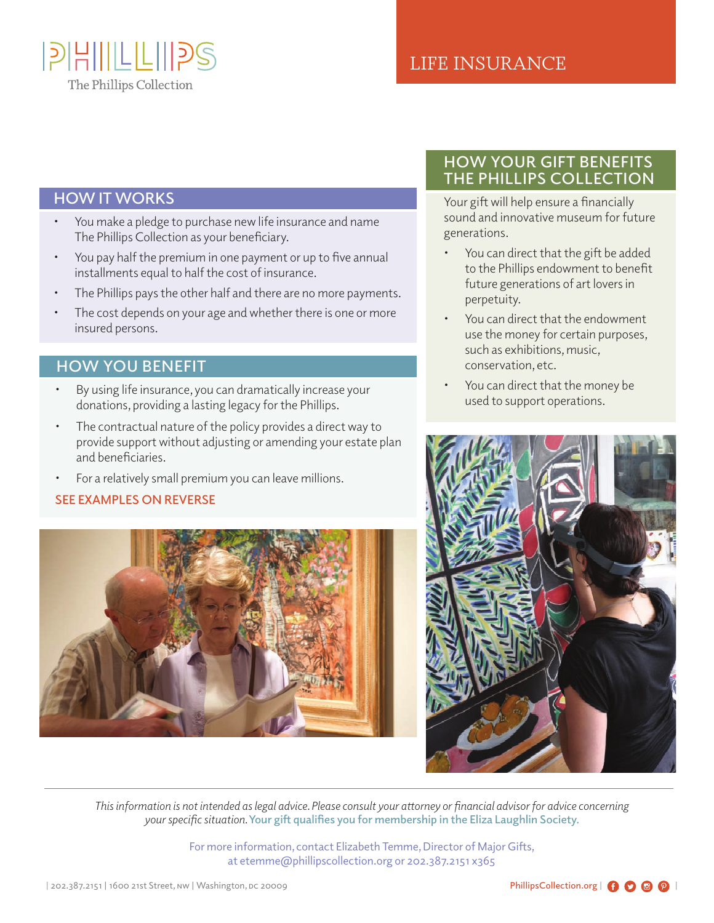

## LIFE INSURANCE

#### **HOW IT WORKS**

- You make a pledge to purchase new life insurance and name The Phillips Collection as your beneficiary.
- You pay half the premium in one payment or up to five annual installments equal to half the cost of insurance.
- The Phillips pays the other half and there are no more payments.
- The cost depends on your age and whether there is one or more insured persons.

### **HOW YOU BENEFIT**

- By using life insurance, you can dramatically increase your donations, providing a lasting legacy for the Phillips.
- The contractual nature of the policy provides a direct way to provide support without adjusting or amending your estate plan and beneficiaries.
- For a relatively small premium you can leave millions.

#### **SEE EXAMPLES ON REVERSE**



## **HOW YOUR GIFT BENEFITS THE PHILLIPS COLLECTION**

Your gift will help ensure a financially sound and innovative museum for future generations.

- You can direct that the gift be added to the Phillips endowment to benefit future generations of art lovers in perpetuity.
- You can direct that the endowment use the money for certain purposes, such as exhibitions, music, conservation, etc.
- You can direct that the money be used to support operations.



*This information is not intended as legal advice. Please consult your attorney or financial advisor for advice concerning your specific situation.* **Your gift qualifies you for membership in the Eliza Laughlin Society.**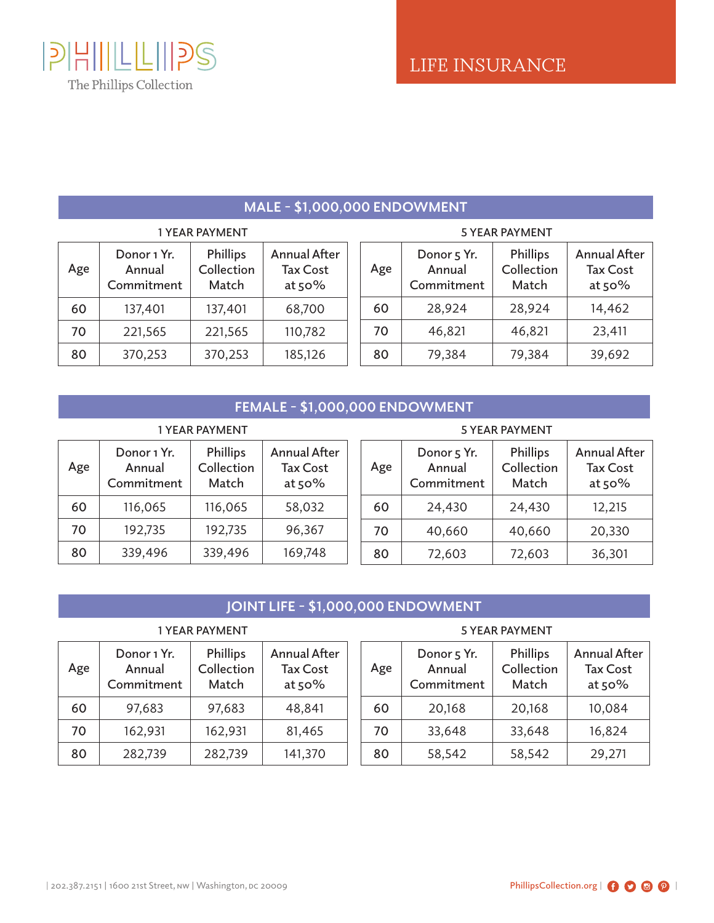

## **MALE - \$1,000,000 ENDOWMENT**

| <b>1 YEAR PAYMENT</b> |                                     |                                        |                                                    |  |  |
|-----------------------|-------------------------------------|----------------------------------------|----------------------------------------------------|--|--|
| Age                   | Donor 1 Yr.<br>Annual<br>Commitment | <b>Phillips</b><br>Collection<br>Match | <b>Annual After</b><br><b>Tax Cost</b><br>at $50%$ |  |  |
| 60                    | 137,401                             | 137,401                                | 68,700                                             |  |  |
| 70                    | 221,565                             | 221,565                                | 110,782                                            |  |  |
| 80                    | 370,253                             | 370,253                                | 185,126                                            |  |  |

| <b>5 YEAR PAYMENT</b> |                                     |                                        |                                                  |  |  |  |
|-----------------------|-------------------------------------|----------------------------------------|--------------------------------------------------|--|--|--|
| Age                   | Donor 5 Yr.<br>Annual<br>Commitment | <b>Phillips</b><br>Collection<br>Match | <b>Annual After</b><br><b>Tax Cost</b><br>at 50% |  |  |  |
| 60                    | 28,924                              | 28,924                                 | 14,462                                           |  |  |  |
| 70                    | 46,821                              | 46,821                                 | 23,411                                           |  |  |  |
| 80                    | 79,384                              | 79,384                                 | 39,692                                           |  |  |  |

### **FEMALE - \$1,000,000 ENDOWMENT**

| <b>1 YEAR PAYMENT</b> |                                     |                                        |                                                    |  |  |  |
|-----------------------|-------------------------------------|----------------------------------------|----------------------------------------------------|--|--|--|
| Age                   | Donor 1 Yr.<br>Annual<br>Commitment | <b>Phillips</b><br>Collection<br>Match | <b>Annual After</b><br><b>Tax Cost</b><br>at $50%$ |  |  |  |
| 60                    | 116,065                             | 116,065                                | 58,032                                             |  |  |  |
| 70                    | 192,735                             | 192,735                                | 96,367                                             |  |  |  |
| 80                    | 339,496                             | 339,496                                | 169,748                                            |  |  |  |

#### **Age Donor 5 Yr. Annual Commitment Phillips Collection Match Annual After Tax Cost at 50% 60** 24,430 24,430 12,215 **70** 40,660 40,660 20,330 **80** 72,603 72,603 36,301 **5 YEAR PAYMENT**

## **JOINT LIFE - \$1,000,000 ENDOWMENT**

| 1 YEAR PAYMENT |                                     |                                        |                                                  |  |  |  |
|----------------|-------------------------------------|----------------------------------------|--------------------------------------------------|--|--|--|
| Age            | Donor 1 Yr.<br>Annual<br>Commitment | <b>Phillips</b><br>Collection<br>Match | <b>Annual After</b><br><b>Tax Cost</b><br>at 50% |  |  |  |
| 60             | 97,683                              | 97,683                                 | 48,841                                           |  |  |  |
| 70             | 162,931                             | 162,931                                | 81,465                                           |  |  |  |
| 80             | 282,739                             | 282,739                                | 141,370                                          |  |  |  |

#### **Age Donor 5 Yr. Annual Commitment Phillips Collection Match Annual After Tax Cost at 50% 60** 20,168 20,168 10,084 **70** 33,648 33,648 16,824 **5 YEAR PAYMENT**

80 58,542 58,542 29,271